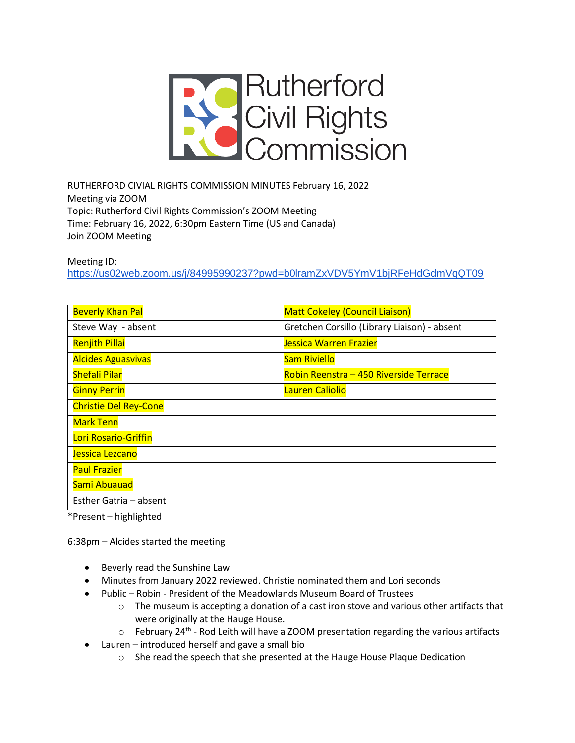

RUTHERFORD CIVIAL RIGHTS COMMISSION MINUTES February 16, 2022 Meeting via ZOOM Topic: Rutherford Civil Rights Commission's ZOOM Meeting Time: February 16, 2022, 6:30pm Eastern Time (US and Canada) Join ZOOM Meeting

Meeting ID:

<https://us02web.zoom.us/j/84995990237?pwd=b0lramZxVDV5YmV1bjRFeHdGdmVqQT09>

| <b>Beverly Khan Pal</b>      | <b>Matt Cokeley (Council Liaison)</b>        |
|------------------------------|----------------------------------------------|
| Steve Way - absent           | Gretchen Corsillo (Library Liaison) - absent |
| <b>Renjith Pillai</b>        | <b>Jessica Warren Frazier</b>                |
| <b>Alcides Aguasvivas</b>    | <b>Sam Riviello</b>                          |
| <b>Shefali Pilar</b>         | Robin Reenstra - 450 Riverside Terrace       |
| <b>Ginny Perrin</b>          | Lauren Caliolio                              |
| <b>Christie Del Rey-Cone</b> |                                              |
| <b>Mark Tenn</b>             |                                              |
| Lori Rosario-Griffin         |                                              |
| Jessica Lezcano              |                                              |
| <b>Paul Frazier</b>          |                                              |
| Sami Abuauad                 |                                              |
| Esther Gatria - absent       |                                              |

\*Present – highlighted

6:38pm – Alcides started the meeting

- Beverly read the Sunshine Law
- Minutes from January 2022 reviewed. Christie nominated them and Lori seconds
- Public Robin President of the Meadowlands Museum Board of Trustees
	- $\circ$  The museum is accepting a donation of a cast iron stove and various other artifacts that were originally at the Hauge House.
	- $\circ$  February 24<sup>th</sup> Rod Leith will have a ZOOM presentation regarding the various artifacts
- Lauren introduced herself and gave a small bio
	- o She read the speech that she presented at the Hauge House Plaque Dedication